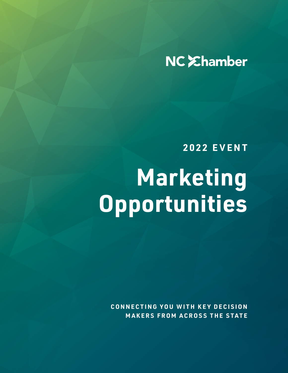# NC Ehamber

**2022 EVENT**

# **Marketing Opportunities**

**CONNECTING YOU WITH KEY DECISION MAKERS FROM ACROSS THE STATE**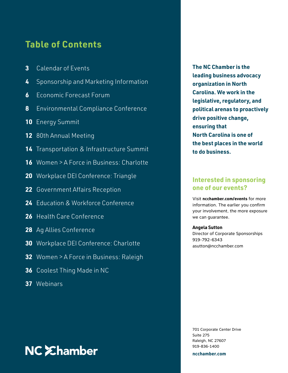### **Table of Contents**

- **3** Calendar of Events
- **4** Sponsorship and Marketing Information
- **6** Economic Forecast Forum
- **8** Environmental Compliance Conference
- **10** Energy Summit
- **12** 80th Annual Meeting
- **14** Transportation & Infrastructure Summit
- **16** Women > A Force in Business: Charlotte
- **20** Workplace DEI Conference: Triangle
- **22** Government Affairs Reception
- **24** Education & Workforce Conference
- **26** Health Care Conference
- **28** Ag Allies Conference
- **30** Workplace DEI Conference: Charlotte
- **32** Women > A Force in Business: Raleigh
- **36** Coolest Thing Made in NC
- **37** Webinars

# **NC** *Ehamber*

**The NC Chamber is the leading business advocacy organization in North Carolina. We work in the legislative, regulatory, and political arenas to proactively drive positive change, ensuring that North Carolina is one of the best places in the world to do business.**

### **Interested in sponsoring one of our events?**

Visit **ncchamber.com/events** for more information. The earlier you confirm your involvement, the more exposure we can guarantee.

### **Angela Sutton**

Director of Corporate Sponsorships 919-792-6343 asutton@ncchamber.com

701 Corporate Center Drive Suite 275 Raleigh, NC 27607 919-836-1400

**ncchamber.com**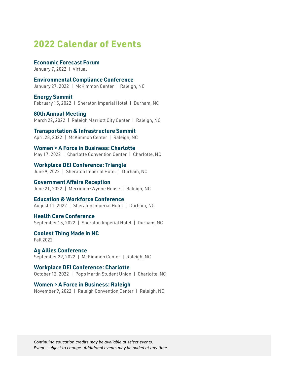### **2022 Calendar of Events**

**Economic Forecast Forum** January 7, 2022 | Virtual

**Environmental Compliance Conference** January 27, 2022 | McKimmon Center | Raleigh, NC

**Energy Summit** February 15, 2022 | Sheraton Imperial Hotel | Durham, NC

**80th Annual Meeting** March 22, 2022 | Raleigh Marriott City Center | Raleigh, NC

**Transportation & Infrastructure Summit** April 28, 2022 | McKimmon Center | Raleigh, NC

**Women > A Force in Business: Charlotte** May 17, 2022 | Charlotte Convention Center | Charlotte, NC

**Workplace DEI Conference: Triangle** June 9, 2022 | Sheraton Imperial Hotel | Durham, NC

**Government Affairs Reception** June 21, 2022 | Merrimon-Wynne House | Raleigh, NC

**Education & Workforce Conference** August 11, 2022 | Sheraton Imperial Hotel | Durham, NC

**Health Care Conference** September 15, 2022 | Sheraton Imperial Hotel | Durham, NC

**Coolest Thing Made in NC** Fall 2022

**Ag Allies Conference** September 29, 2022 | McKimmon Center | Raleigh, NC

**Workplace DEI Conference: Charlotte** October 12, 2022 | Popp Martin Student Union | Charlotte, NC

**Women > A Force in Business: Raleigh** November 9, 2022 | Raleigh Convention Center | Raleigh, NC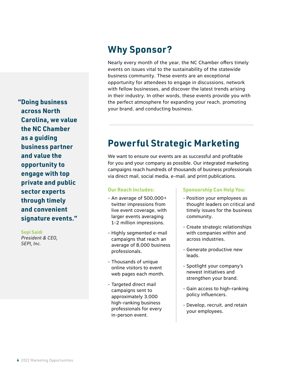**"Doing business across North Carolina, we value the NC Chamber as a guiding business partner and value the opportunity to engage with top private and public sector experts through timely and convenient signature events."**

**Sepi Saidi**

*President & CEO, SEPI, Inc.*

### **Why Sponsor?**

Nearly every month of the year, the NC Chamber offers timely events on issues vital to the sustainability of the statewide business community. These events are an exceptional opportunity for attendees to engage in discussions, network with fellow businesses, and discover the latest trends arising in their industry. In other words, these events provide you with the perfect atmosphere for expanding your reach, promoting your brand, and conducting business.

## **Powerful Strategic Marketing**

We want to ensure our events are as successful and profitable for you and your company as possible. Our integrated marketing campaigns reach hundreds of thousands of business professionals via direct mail, social media, e-mail, and print publications.

### **Our Reach Includes:**

- An average of 500,000+ twitter impressions from live event coverage, with larger events averaging 1-2 million impressions.
- Highly segmented e-mail campaigns that reach an average of 8,000 business professionals.
- Thousands of unique online visitors to event web pages each month.
- Targeted direct mail campaigns sent to approximately 3,000 high-ranking business professionals for every in-person event.

### **Sponsorship Can Help You:**

- Position your employees as thought leaders on critical and timely issues for the business community.
- Create strategic relationships with companies within and across industries.
- Generate productive new leads.
- Spotlight your company's newest initiatives and strengthen your brand.
- Gain access to high-ranking policy influencers.
- Develop, recruit, and retain your employees.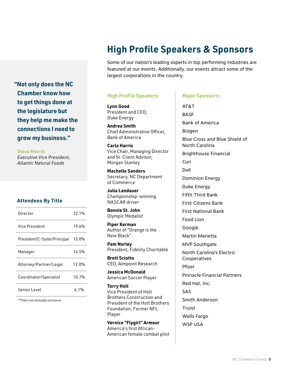**"Not only does the NC Chamber know how to get things done at the legislature but they help me make the connections I need to grow my business."**

**Steve Morris** *Executive Vice President, Atlantic Natural Foods*

### **Attendees By Title**

| Director                    | 22.1% |
|-----------------------------|-------|
| Vice President              | 19.6% |
| President/C-Suite/Principal | 15.0% |
| Manager                     | 14.5% |
| Attorney/Partner/Legal      | 12.0% |
| Coordinator/Specialist      | 10.7% |
| Senior Level                | ሐ 1%  |

 *\*Titles not mutually exclusive*

# **High Profile Speakers & Sponsors**

Some of our nation's leading experts in top performing industries are featured at our events. Additionally, our events attract some of the largest corporations in the country.

### **High Profile Speakers:**

**Lynn Good**  President and CEO, Duke Energy

**Andrea Smith** Chief Administrative Officer, Bank of America

**Carla Harris** Vice Chair, Managing Director and Sr. Client Advisor, Morgan Stanley

**Machelle Sanders** Secretary, NC Department of Commerce

**Julia Landauer** Championship-winning NASCAR driver

**Bonnie St. John** Olympic Medalist

**Piper Kerman** Author of "Orange is the New Black"

**Pam Norley** President, Fidelity Charitable

**Brett Sciotto** CEO, Aimpoint Research

**Jessica McDonald** American Soccer Player

**Torry Holt** Vice President of Holt Brothers Construction and President of the Holt Brothers Foundation, Former NFL Player

**Vernice "Flygirl" Armour** America's first African-American female combat pilot

### **Major Sponsors:**

AT&T BASF Bank of America Biogen Blue Cross and Blue Shield of North Carolina Brighthouse Financial Curi Dell Dominion Energy Duke Energy Fifth Third Bank First Citizens Bank First National Bank Food Lion Google Martin Marietta MVP Southgate North Carolina's Electric Cooperatives Pfizer Pinnacle Financial Partners Red Hat, Inc.  $242$ Smith Anderson Truist Wells Fargo WSP USA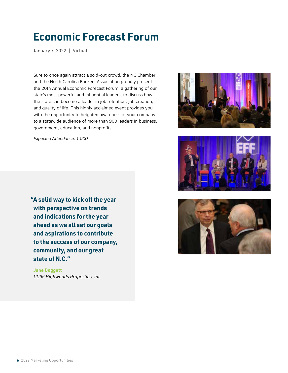# **Economic Forecast Forum**

January 7, 2022 | Virtual

Sure to once again attract a sold-out crowd, the NC Chamber and the North Carolina Bankers Association proudly present the 20th Annual Economic Forecast Forum, a gathering of our state's most powerful and influential leaders, to discuss how the state can become a leader in job retention, job creation, and quality of life. This highly acclaimed event provides you with the opportunity to heighten awareness of your company to a statewide audience of more than 900 leaders in business, government, education, and nonprofits.

*Expected Attendance: 1,000*

**"A solid way to kick off the year with perspective on trends and indications for the year ahead as we all set our goals and aspirations to contribute to the success of our company, community, and our great state of N.C."**

 **Jane Doggett**  *CCIM Highwoods Properties, Inc.*





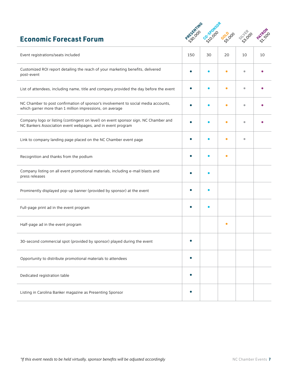### **Economic Forecast Forum**



| Event registrations/seats included                                                                                                                 | 150 | 30 | 20        | 10 | 10 |
|----------------------------------------------------------------------------------------------------------------------------------------------------|-----|----|-----------|----|----|
| Customized ROI report detailing the reach of your marketing benefits, delivered<br>post-event                                                      |     |    | $\bullet$ | ٠  |    |
| List of attendees, including name, title and company provided the day before the event                                                             |     |    | о         | ٠  |    |
| NC Chamber to post confirmation of sponsor's involvement to social media accounts,<br>which garner more than 1 million impressions, on average     |     |    | о         |    |    |
| Company logo or listing (contingent on level) on event sponsor sign, NC Chamber and<br>NC Bankers Association event webpages, and in event program |     |    | о         |    |    |
| Link to company landing page placed on the NC Chamber event page                                                                                   |     |    | о         | ٠  |    |
| Recognition and thanks from the podium                                                                                                             |     |    | о         |    |    |
| Company listing on all event promotional materials, including e-mail blasts and<br>press releases                                                  |     |    |           |    |    |
| Prominently displayed pop-up banner (provided by sponsor) at the event                                                                             |     |    |           |    |    |
| Full-page print ad in the event program                                                                                                            |     |    |           |    |    |
| Half-page ad in the event program                                                                                                                  |     |    | $\bullet$ |    |    |
| 30-second commercial spot (provided by sponsor) played during the event                                                                            |     |    |           |    |    |
| Opportunity to distribute promotional materials to attendees                                                                                       |     |    |           |    |    |
| Dedicated registration table                                                                                                                       |     |    |           |    |    |
| Listing in Carolina Banker magazine as Presenting Sponsor                                                                                          |     |    |           |    |    |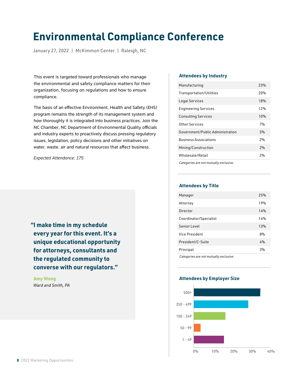# **Environmental Compliance Conference**

January 27, 2022 | McKimmon Center | Raleigh, NC

This event is targeted toward professionals who manage the environmental and safety compliance matters for their organization, focusing on regulations and how to ensure compliance.

The basis of an effective Environment, Health and Safety (EHS) program remains the strength of its management system and how thoroughly it is integrated into business practices. Join the NC Chamber, NC Department of Environmental Quality officials and industry experts to proactively discuss pressing regulatory issues, legislation, policy decisions and other initiatives on water, waste, air and natural resources that affect business.

*Expected Attendance: 175*

**"I make time in my schedule every year for this event. It's a unique educational opportunity for attorneys, consultants and the regulated community to converse with our regulators."**

 **Amy Wang**  *Ward and Smith, PA*

#### **Attendees by Industry**

| Manufacturing                    | 23% |
|----------------------------------|-----|
| Transportation/Utilities         | 20% |
| Legal Services                   | 18% |
| <b>Engineering Services</b>      | 12% |
| <b>Consulting Services</b>       | 10% |
| Other Services                   | 7%  |
| Government/Public Administration | 5%  |
| <b>Business Associations</b>     | 2%  |
| Mining/Construction              | 2%  |
| Wholesale/Retail                 | 2%  |
|                                  |     |

*Categories are not mutually exclusive.*

#### **Attendees by Title**

| Manager                               | 25% |
|---------------------------------------|-----|
| Attorney                              | 19% |
| Director                              | 14% |
| Coordinator/Specialist                | 14% |
| Senior Level                          | 13% |
| Vice President                        | 8%  |
| President/C-Suite                     | 4%  |
| Principal                             | 3%  |
| Categories are not mutually exclusive |     |

*Categories are not mutually exclusive.*

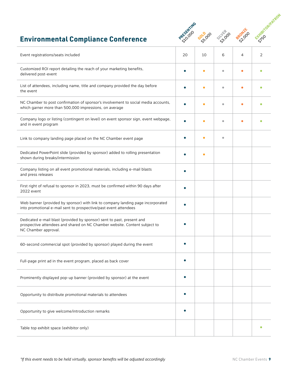

### **Environmental Compliance Conference**

| Event registrations/seats included                                                                                                                                           | 20        | 10        | 6 | 4 | 2 |
|------------------------------------------------------------------------------------------------------------------------------------------------------------------------------|-----------|-----------|---|---|---|
| Customized ROI report detailing the reach of your marketing benefits,<br>delivered post-event                                                                                |           | $\bullet$ | ۵ |   |   |
| List of attendees, including name, title and company provided the day before<br>the event                                                                                    |           |           |   |   |   |
| NC Chamber to post confirmation of sponsor's involvement to social media accounts,<br>which garner more than 500,000 impressions, on average                                 |           |           |   |   |   |
| Company logo or listing (contingent on level) on event sponsor sign, event webpage,<br>and in event program                                                                  |           |           |   |   |   |
| Link to company landing page placed on the NC Chamber event page                                                                                                             |           |           | ä |   |   |
| Dedicated PowerPoint slide (provided by sponsor) added to rolling presentation<br>shown during breaks/intermission                                                           |           |           |   |   |   |
| Company listing on all event promotional materials, including e-mail blasts<br>and press releases                                                                            |           |           |   |   |   |
| First right of refusal to sponsor in 2023, must be confirmed within 90 days after<br>2022 event                                                                              |           |           |   |   |   |
| Web banner (provided by sponsor) with link to company landing page incorporated<br>into promotional e-mail sent to prospective/past event attendees                          |           |           |   |   |   |
| Dedicated e-mail blast (provided by sponsor) sent to past, present and<br>prospective attendees and shared on NC Chamber website. Content subject to<br>NC Chamber approval. |           |           |   |   |   |
| 60-second commercial spot (provided by sponsor) played during the event                                                                                                      |           |           |   |   |   |
| Full-page print ad in the event program, placed as back cover                                                                                                                | $\bullet$ |           |   |   |   |
| Prominently displayed pop-up banner (provided by sponsor) at the event                                                                                                       |           |           |   |   |   |
| Opportunity to distribute promotional materials to attendees                                                                                                                 |           |           |   |   |   |
| Opportunity to give welcome/introduction remarks                                                                                                                             |           |           |   |   |   |
| Table top exhibit space (exhibitor only)                                                                                                                                     |           |           |   |   |   |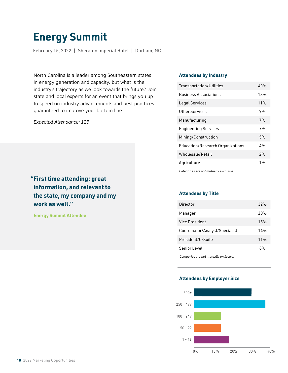# **Energy Summit**

February 15, 2022 | Sheraton Imperial Hotel | Durham, NC

North Carolina is a leader among Southeastern states in energy generation and capacity, but what is the industry's trajectory as we look towards the future? Join state and local experts for an event that brings you up to speed on industry advancements and best practices guaranteed to improve your bottom line.

*Expected Attendance: 125*

### **"First time attending: great information, and relevant to the state, my company and my work as well."**

 **Energy Summit Attendee**

### **Attendees by Industry**

| Transportation/Utilities                | 40% |
|-----------------------------------------|-----|
| <b>Business Associations</b>            | 13% |
| Legal Services                          | 11% |
| Other Services                          | 9%  |
| Manufacturing                           | 7%  |
| <b>Engineering Services</b>             | 7%  |
| Mining/Construction                     | 5%  |
| <b>Education/Research Organizations</b> | 4%  |
| Wholesale/Retail                        | 2%  |
| Agriculture                             | 1%  |
|                                         |     |

*Categories are not mutually exclusive.*

### **Attendees by Title**

| Director                       | 32%             |
|--------------------------------|-----------------|
| Manager                        | 20 <sub>%</sub> |
| Vice President                 | 15%             |
| Coordinator/Analyst/Specialist | 14%             |
| President/C-Suite              | 11%             |
| Senior Level                   | ጸ%              |
|                                |                 |

*Categories are not mutually exclusive.*

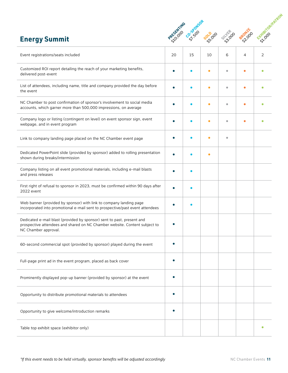|                                                                                                                                                                              |            |         |           |           |         | EXTRADOOR PATROL |
|------------------------------------------------------------------------------------------------------------------------------------------------------------------------------|------------|---------|-----------|-----------|---------|------------------|
| <b>Energy Summit</b>                                                                                                                                                         | PRESENTING | Co-SPOC | Goldoo    | SILVER OD | BRONZEO |                  |
| Event registrations/seats included                                                                                                                                           | 20         | 15      | 10        | 6         | 4       | 2                |
| Customized ROI report detailing the reach of your marketing benefits,<br>delivered post-event                                                                                |            |         |           | ۵         |         |                  |
| List of attendees, including name, title and company provided the day before<br>the event                                                                                    |            |         |           |           |         |                  |
| NC Chamber to post confirmation of sponsor's involvement to social media<br>accounts, which garner more than 500,000 impressions, on average                                 |            |         |           | ٠         |         |                  |
| Company logo or listing (contingent on level) on event sponsor sign, event<br>webpage, and in event program                                                                  |            |         | с         | ۰         |         |                  |
| Link to company landing page placed on the NC Chamber event page                                                                                                             |            |         | с         | $\bullet$ |         |                  |
| Dedicated PowerPoint slide (provided by sponsor) added to rolling presentation<br>shown during breaks/intermission                                                           |            |         | $\bullet$ |           |         |                  |
| Company listing on all event promotional materials, including e-mail blasts<br>and press releases                                                                            |            |         |           |           |         |                  |
| First right of refusal to sponsor in 2023, must be confirmed within 90 days after<br>2022 event                                                                              |            |         |           |           |         |                  |
| Web banner (provided by sponsor) with link to company landing page<br>incorporated into promotional e-mail sent to prospective/past event attendees                          |            |         |           |           |         |                  |
| Dedicated e-mail blast (provided by sponsor) sent to past, present and<br>prospective attendees and shared on NC Chamber website. Content subject to<br>NC Chamber approval. |            |         |           |           |         |                  |
| 60-second commercial spot (provided by sponsor) played during the event                                                                                                      |            |         |           |           |         |                  |
| Full-page print ad in the event program, placed as back cover                                                                                                                |            |         |           |           |         |                  |
| Prominently displayed pop-up banner (provided by sponsor) at the event                                                                                                       |            |         |           |           |         |                  |
| Opportunity to distribute promotional materials to attendees                                                                                                                 |            |         |           |           |         |                  |
| Opportunity to give welcome/introduction remarks                                                                                                                             |            |         |           |           |         |                  |
| Table top exhibit space (exhibitor only)                                                                                                                                     |            |         |           |           |         | ۰                |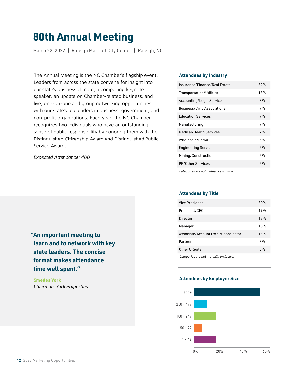# **80th Annual Meeting**

March 22, 2022 | Raleigh Marriott City Center | Raleigh, NC

The Annual Meeting is the NC Chamber's flagship event. Leaders from across the state convene for insight into our state's business climate, a compelling keynote speaker, an update on Chamber-related business, and live, one-on-one and group networking opportunities with our state's top leaders in business, government, and non-profit organizations. Each year, the NC Chamber recognizes two individuals who have an outstanding sense of public responsibility by honoring them with the Distinguished Citizenship Award and Distinguished Public Service Award.

*Expected Attendance: 400*

**"An important meeting to learn and to network with key state leaders. The concise format makes attendance time well spent."**

 **Smedes York**  *Chairman, York Properties*

#### **Attendees by Industry**

| Insurance/Finance/Real Estate          | 32% |
|----------------------------------------|-----|
| Transportation/Utilities               | 13% |
| Accounting/Legal Services              | 8%  |
| <b>Business/Civic Associations</b>     | 7%  |
| <b>Education Services</b>              | 7%  |
| Manufacturing                          | 7%  |
| Medical/Health Services                | 7%  |
| Wholesale/Retail                       | 6%  |
| <b>Engineering Services</b>            | 5%  |
| Mining/Construction                    | 5%  |
| <b>PR/Other Services</b>               | 5%  |
| Categories are not mutually exclusive. |     |

### **Attendees by Title**

| Vice President                         | 30% |
|----------------------------------------|-----|
| President/CEO                          | 19% |
| Director                               | 17% |
| Manager                                | 15% |
| Associate/Account Exec./Coordinator    | 13% |
| Partner                                | 3%  |
| Other C-Suite                          | 3%  |
| Categories are not mutually exclusive. |     |

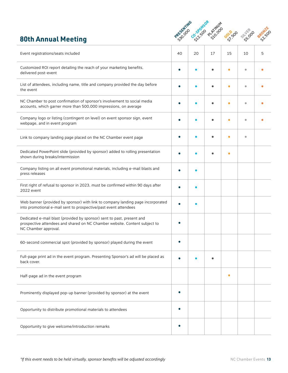### **80th Annual Meeting**



| Event registrations/seats included                                                                                                                                           | 40 | 20 | 17 | 15        | 10 | 5 |
|------------------------------------------------------------------------------------------------------------------------------------------------------------------------------|----|----|----|-----------|----|---|
| Customized ROI report detailing the reach of your marketing benefits,<br>delivered post-event                                                                                |    |    |    | $\bullet$ | ۰  |   |
| List of attendees, including name, title and company provided the day before<br>the event                                                                                    |    |    |    | ٠         | ۰  |   |
| NC Chamber to post confirmation of sponsor's involvement to social media<br>accounts, which garner more than 500,000 impressions, on average                                 |    |    |    |           | ó  |   |
| Company logo or listing (contingent on level) on event sponsor sign, event<br>webpage, and in event program                                                                  |    |    |    |           | ۵  |   |
| Link to company landing page placed on the NC Chamber event page                                                                                                             |    |    |    |           | Ŏ  |   |
| Dedicated PowerPoint slide (provided by sponsor) added to rolling presentation<br>shown during breaks/intermission                                                           |    |    |    |           |    |   |
| Company listing on all event promotional materials, including e-mail blasts and<br>press releases                                                                            |    |    |    |           |    |   |
| First right of refusal to sponsor in 2023, must be confirmed within 90 days after<br>2022 event                                                                              |    |    |    |           |    |   |
| Web banner (provided by sponsor) with link to company landing page incorporated<br>into promotional e-mail sent to prospective/past event attendees                          |    |    |    |           |    |   |
| Dedicated e-mail blast (provided by sponsor) sent to past, present and<br>prospective attendees and shared on NC Chamber website. Content subject to<br>NC Chamber approval. |    |    |    |           |    |   |
| 60-second commercial spot (provided by sponsor) played during the event                                                                                                      |    |    |    |           |    |   |
| Full-page print ad in the event program. Presenting Sponsor's ad will be placed as<br>back cover.                                                                            |    |    | ٠  |           |    |   |
| Half-page ad in the event program                                                                                                                                            |    |    |    | ۰         |    |   |
| Prominently displayed pop-up banner (provided by sponsor) at the event                                                                                                       |    |    |    |           |    |   |
| Opportunity to distribute promotional materials to attendees                                                                                                                 |    |    |    |           |    |   |
| Opportunity to give welcome/introduction remarks                                                                                                                             |    |    |    |           |    |   |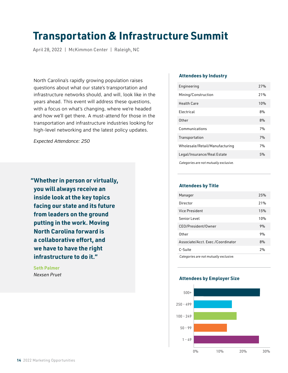# **Transportation & Infrastructure Summit**

April 28, 2022 | McKimmon Center | Raleigh, NC

North Carolina's rapidly growing population raises questions about what our state's transportation and infrastructure networks should, and will, look like in the years ahead. This event will address these questions, with a focus on what's changing, where we're headed and how we'll get there. A must-attend for those in the transportation and infrastructure industries looking for high-level networking and the latest policy updates.

*Expected Attendance: 250*

**"Whether in person or virtually, you will always receive an inside look at the key topics facing our state and its future from leaders on the ground putting in the work. Moving North Carolina forward is a collaborative effort, and we have to have the right infrastructure to do it."**

 **Seth Palmer**  *Nexsen Pruet*

### **Attendees by Industry**

| Engineering                            | 27% |
|----------------------------------------|-----|
| Mining/Construction                    | 21% |
| <b>Health Care</b>                     | 10% |
| Flectrical                             | 8%  |
| Other                                  | 8%  |
| Communications                         | 7%  |
| Transportation                         | 7%  |
| Wholesale/Retail/Manufacturing         | 7%  |
| Legal/Insurance/Real Estate            | 5%  |
| Categories are not mutually exclusive. |     |

#### **Attendees by Title**

| Manager                                | 25% |
|----------------------------------------|-----|
| Director                               | 21% |
| <b>Vice President</b>                  | 15% |
| Senior Level                           | 10% |
| CEO/President/Owner                    | 9%  |
| <b>Other</b>                           | 9%  |
| Associate/Acct. Exec./Coordinator      | 8%  |
| C-Suite                                | 2%  |
| Categories are not mutually exclusive. |     |

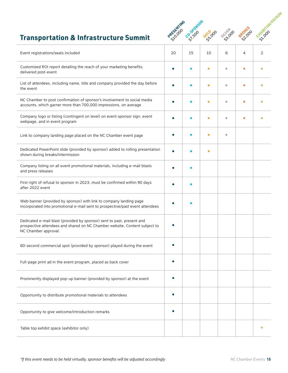

### **Transportation & Infrastructure Summit**

| Event registrations/seats included                                                                                                                                           | 20 | 15 | 10        | 6         | 4 | 2 |
|------------------------------------------------------------------------------------------------------------------------------------------------------------------------------|----|----|-----------|-----------|---|---|
| Customized ROI report detailing the reach of your marketing benefits,<br>delivered post-event                                                                                |    |    |           | ۵         |   |   |
| List of attendees, including name, title and company provided the day before<br>the event                                                                                    |    |    |           | ŏ         |   |   |
| NC Chamber to post confirmation of sponsor's involvement to social media<br>accounts, which garner more than 700,000 impressions, on average                                 |    |    | ۵         | ۵         |   |   |
| Company logo or listing (contingent on level) on event sponsor sign, event<br>webpage, and in event program                                                                  |    |    |           | $\bullet$ |   |   |
| Link to company landing page placed on the NC Chamber event page                                                                                                             |    |    | $\bullet$ | $\bullet$ |   |   |
| Dedicated PowerPoint slide (provided by sponsor) added to rolling presentation<br>shown during breaks/intermission                                                           |    |    | $\bullet$ |           |   |   |
| Company listing on all event promotional materials, including e-mail blasts<br>and press releases                                                                            |    |    |           |           |   |   |
| First right of refusal to sponsor in 2023, must be confirmed within 90 days<br>after 2022 event                                                                              |    |    |           |           |   |   |
| Web banner (provided by sponsor) with link to company landing page<br>incorporated into promotional e-mail sent to prospective/past event attendees                          |    |    |           |           |   |   |
| Dedicated e-mail blast (provided by sponsor) sent to past, present and<br>prospective attendees and shared on NC Chamber website. Content subject to<br>NC Chamber approval. |    |    |           |           |   |   |
| 60-second commercial spot (provided by sponsor) played during the event                                                                                                      |    |    |           |           |   |   |
| Full-page print ad in the event program, placed as back cover                                                                                                                |    |    |           |           |   |   |
| Prominently displayed pop-up banner (provided by sponsor) at the event                                                                                                       |    |    |           |           |   |   |
| Opportunity to distribute promotional materials to attendees                                                                                                                 |    |    |           |           |   |   |
| Opportunity to give welcome/introduction remarks                                                                                                                             |    |    |           |           |   |   |
| Table top exhibit space (exhibitor only)                                                                                                                                     |    |    |           |           |   |   |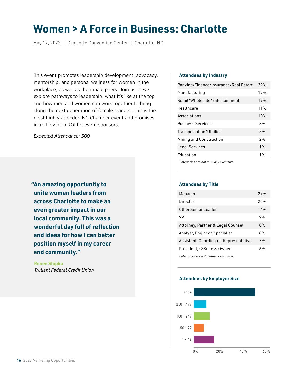# **Women > A Force in Business: Charlotte**

May 17, 2022 | Charlotte Convention Center | Charlotte, NC

This event promotes leadership development, advocacy, mentorship, and personal wellness for women in the workplace, as well as their male peers. Join us as we explore pathways to leadership, what it's like at the top and how men and women can work together to bring along the next generation of female leaders. This is the most highly attended NC Chamber event and promises incredibly high ROI for event sponsors.

*Expected Attendance: 500*

**"An amazing opportunity to unite women leaders from across Charlotte to make an even greater impact in our local community. This was a wonderful day full of reflection and ideas for how I can better position myself in my career and community."**

 **Renee Shipko**  *Truliant Federal Credit Union*

### **Attendees by Industry**

| Banking/Finance/Insurance/Real Estate | 79% |
|---------------------------------------|-----|
| Manufacturing                         | 17% |
| Retail/Wholesale/Entertainment        | 17% |
| Healthcare                            | 11% |
| Associations                          | 10% |
| <b>Business Services</b>              | 8%  |
| Transportation/Utilities              | 5%  |
| Mining and Construction               | 2%  |
| Legal Services                        | 1%  |
| Education                             | 1%  |
| Categories are not mutually exclusive |     |

*Categories are not mutually exclusive.*

### **Attendees by Title**

| Manager                                | 27%             |
|----------------------------------------|-----------------|
| Director                               | 20 <sub>%</sub> |
| Other Senior Leader                    | 14%             |
| VP                                     | 9%              |
| Attorney, Partner & Legal Counsel      | 8%              |
| Analyst, Engineer, Specialist          | 8%              |
| Assistant, Coordinator, Representative | 7%              |
| President, C-Suite & Owner             | 6%              |
| Categories are not mutually exclusive. |                 |

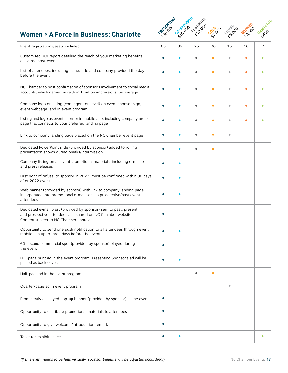### **Women > A Force in Business: Charlotte**



| Event registrations/seats included                                                                                                                                           | 65        | 35 | 25        | 20        | 15                      | 10 | 2 |
|------------------------------------------------------------------------------------------------------------------------------------------------------------------------------|-----------|----|-----------|-----------|-------------------------|----|---|
| Customized ROI report detailing the reach of your marketing benefits,<br>delivered post-event                                                                                |           |    |           | ٠         | ۰                       |    |   |
| List of attendees, including name, title and company provided the day<br>before the event                                                                                    |           |    |           | $\bullet$ | ۰                       |    |   |
| NC Chamber to post confirmation of sponsor's involvement to social media<br>accounts, which garner more than 1 million impressions, on average                               |           |    |           | ö         | $\bullet$               |    |   |
| Company logo or listing (contingent on level) on event sponsor sign,<br>event webpage, and in event program                                                                  |           |    |           | ö         | ۰                       |    |   |
| Listing and logo as event sponsor in mobile app, including company profile<br>page that connects to your preferred landing page                                              |           |    |           | Ŏ         | ۰                       |    |   |
| Link to company landing page placed on the NC Chamber event page                                                                                                             |           |    |           | $\bullet$ | $\bullet$               |    |   |
| Dedicated PowerPoint slide (provided by sponsor) added to rolling<br>presentation shown during breaks/intermission                                                           |           |    |           | $\bullet$ |                         |    |   |
| Company listing on all event promotional materials, including e-mail blasts<br>and press releases                                                                            |           |    |           |           |                         |    |   |
| First right of refusal to sponsor in 2023, must be confirmed within 90 days<br>after 2022 event                                                                              |           |    |           |           |                         |    |   |
| Web banner (provided by sponsor) with link to company landing page<br>incorporated into promotional e-mail sent to prospective/past event<br>attendees                       |           |    |           |           |                         |    |   |
| Dedicated e-mail blast (provided by sponsor) sent to past, present<br>and prospective attendees and shared on NC Chamber website.<br>Content subject to NC Chamber approval. |           |    |           |           |                         |    |   |
| Opportunity to send one push notification to all attendees through event<br>mobile app up to three days before the event                                                     |           |    |           |           |                         |    |   |
| 60-second commercial spot (provided by sponsor) played during<br>the event                                                                                                   |           |    |           |           |                         |    |   |
| Full-page print ad in the event program. Presenting Sponsor's ad will be<br>placed as back cover.                                                                            |           |    |           |           |                         |    |   |
| Half-page ad in the event program                                                                                                                                            |           |    | $\bullet$ | $\bullet$ |                         |    |   |
| Quarter-page ad in event program                                                                                                                                             |           |    |           |           | $\qquad \qquad \bullet$ |    |   |
| Prominently displayed pop-up banner (provided by sponsor) at the event                                                                                                       |           |    |           |           |                         |    |   |
| Opportunity to distribute promotional materials to attendees                                                                                                                 | $\bullet$ |    |           |           |                         |    |   |
| Opportunity to give welcome/introduction remarks                                                                                                                             |           |    |           |           |                         |    |   |
| Table top exhibit space                                                                                                                                                      |           |    |           |           |                         |    | ٠ |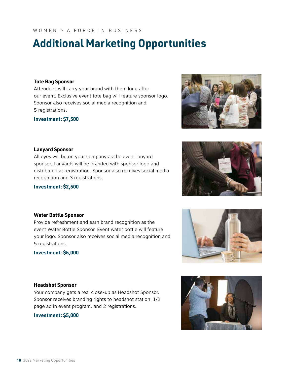**18** 2022 Marketing Opportunities

### WOMEN > A FORCE IN BUSINESS

# **Additional Marketing Opportunities**

### **Tote Bag Sponsor**

Attendees will carry your brand with them long after our event. Exclusive event tote bag will feature sponsor logo. Sponsor also receives social media recognition and 5 registrations.

**Investment: \$7,500**

### **Lanyard Sponsor**

All eyes will be on your company as the event lanyard sponsor. Lanyards will be branded with sponsor logo and distributed at registration. Sponsor also receives social media recognition and 3 registrations.

Provide refreshment and earn brand recognition as the event Water Bottle Sponsor. Event water bottle will feature your logo. Sponsor also receives social media recognition and

### **Investment: \$2,500**

**Water Bottle Sponsor**

**Investment: \$5,000**

5 registrations.

### **Headshot Sponsor**

Your company gets a real close-up as Headshot Sponsor. Sponsor receives branding rights to headshot station, 1/2 page ad in event program, and 2 registrations.

**Investment: \$5,000**





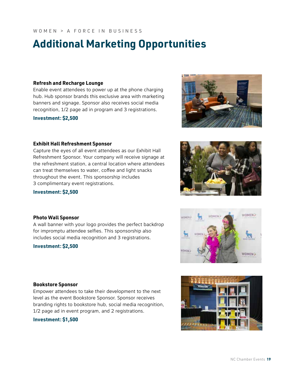# **Additional Marketing Opportunities**

### **Refresh and Recharge Lounge**

Enable event attendees to power up at the phone charging hub. Hub sponsor brands this exclusive area with marketing banners and signage. Sponsor also receives social media recognition, 1/2 page ad in program and 3 registrations.

**Investment: \$2,500**

### **Exhibit Hall Refreshment Sponsor**

Capture the eyes of all event attendees as our Exhibit Hall Refreshment Sponsor. Your company will receive signage at the refreshment station, a central location where attendees can treat themselves to water, coffee and light snacks throughout the event. This sponsorship includes 3 complimentary event registrations.

### **Investment: \$2,500**

### **Photo Wall Sponsor**

A wall banner with your logo provides the perfect backdrop for impromptu attendee selfies. This sponsorship also includes social media recognition and 3 registrations.

### **Investment: \$2,500**

### **Bookstore Sponsor**

Empower attendees to take their development to the next level as the event Bookstore Sponsor. Sponsor receives branding rights to bookstore hub, social media recognition, 1/2 page ad in event program, and 2 registrations.

### **Investment: \$1,500**

**WOMEN?** 

WOMEN >





WORKER

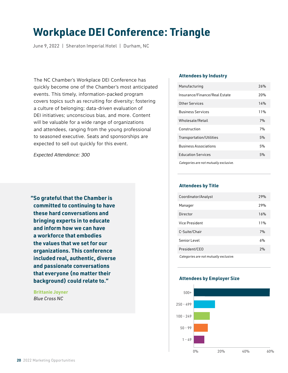# **Workplace DEI Conference: Triangle**

June 9, 2022 | Sheraton Imperial Hotel | Durham, NC

The NC Chamber's Workplace DEI Conference has quickly become one of the Chamber's most anticipated events. This timely, information-packed program covers topics such as recruiting for diversity; fostering a culture of belonging; data-driven evaluation of DEI initiatives; unconscious bias, and more. Content will be valuable for a wide range of organizations and attendees, ranging from the young professional to seasoned executive. Seats and sponsorships are expected to sell out quickly for this event.

*Expected Attendance: 300*

**"So grateful that the Chamber is committed to continuing to have these hard conversations and bringing experts in to educate and inform how we can have a workforce that embodies the values that we set for our organizations. This conference included real, authentic, diverse and passionate conversations that everyone (no matter their background) could relate to."**

 **Brittanie Joyner**  *Blue Cross NC*

### **Attendees by Industry**

| Manufacturing                 | 26% |
|-------------------------------|-----|
| Insurance/Finance/Real Estate | 20% |
| Other Services                | 14% |
| <b>Business Services</b>      | 11% |
| Wholesale/Retail              | 7%  |
| Construction                  | 7%  |
| Transportation/Utilities      | 5%  |
| <b>Business Associations</b>  | 5%  |
| <b>Education Services</b>     | 5%  |
| .                             |     |

*Categories are not mutually exclusive.*

### **Attendees by Title**

| Coordinator/Analyst                    | 29% |
|----------------------------------------|-----|
| Manager                                | 79% |
| Director                               | 16% |
| Vice President                         | 11% |
| C-Suite/Chair                          | 7%  |
| Senior Level                           | 6%  |
| President/CEO                          | 2%  |
| Categories are not mutually exclusive. |     |

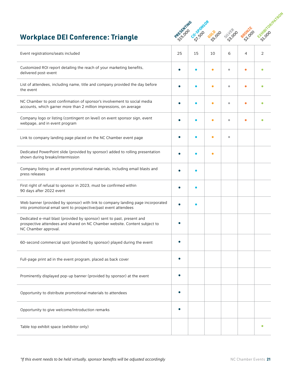### **Workplace DEI Conference: Triangle**



| Event registrations/seats included                                                                                                                                           | 25 | 15 | 10        | 6         | 4 | 2 |
|------------------------------------------------------------------------------------------------------------------------------------------------------------------------------|----|----|-----------|-----------|---|---|
| Customized ROI report detailing the reach of your marketing benefits,<br>delivered post-event                                                                                |    |    | ۰         | $\bullet$ |   |   |
| List of attendees, including name, title and company provided the day before<br>the event                                                                                    |    |    | $\bullet$ | $\bullet$ |   |   |
| NC Chamber to post confirmation of sponsor's involvement to social media<br>accounts, which garner more than 2 million impressions, on average                               |    |    | ٠         | ٠         |   |   |
| Company logo or listing (contingent on level) on event sponsor sign, event<br>webpage, and in event program                                                                  |    |    | $\bullet$ | ۰         |   |   |
| Link to company landing page placed on the NC Chamber event page                                                                                                             |    |    | $\bullet$ | $\bullet$ |   |   |
| Dedicated PowerPoint slide (provided by sponsor) added to rolling presentation<br>shown during breaks/intermission                                                           |    |    |           |           |   |   |
| Company listing on all event promotional materials, including email blasts and<br>press releases                                                                             |    |    |           |           |   |   |
| First right of refusal to sponsor in 2023, must be confirmed within<br>90 days after 2022 event                                                                              |    |    |           |           |   |   |
| Web banner (provided by sponsor) with link to company landing page incorporated<br>into promotional email sent to prospective/past event attendees                           |    |    |           |           |   |   |
| Dedicated e-mail blast (provided by sponsor) sent to past, present and<br>prospective attendees and shared on NC Chamber website. Content subject to<br>NC Chamber approval. |    |    |           |           |   |   |
| 60-second commercial spot (provided by sponsor) played during the event                                                                                                      |    |    |           |           |   |   |
| Full-page print ad in the event program, placed as back cover                                                                                                                | ٠  |    |           |           |   |   |
| Prominently displayed pop-up banner (provided by sponsor) at the event                                                                                                       |    |    |           |           |   |   |
| Opportunity to distribute promotional materials to attendees                                                                                                                 |    |    |           |           |   |   |
| Opportunity to give welcome/introduction remarks                                                                                                                             |    |    |           |           |   |   |
| Table top exhibit space (exhibitor only)                                                                                                                                     |    |    |           |           |   |   |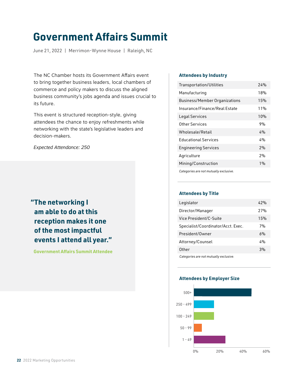# **Government Affairs Summit**

June 21, 2022 | Merrimon-Wynne House | Raleigh, NC

The NC Chamber hosts its Government Affairs event to bring together business leaders, local chambers of commerce and policy makers to discuss the aligned business community's jobs agenda and issues crucial to its future.

This event is structured reception-style, giving attendees the chance to enjoy refreshments while networking with the state's legislative leaders and decision-makers.

*Expected Attendance: 250*

### **"The networking I am able to do at this reception makes it one of the most impactful events I attend all year."**

 **Government Affairs Summit Attendee**

### **Attendees by Industry**

| Transportation/Utilities               | 74%    |
|----------------------------------------|--------|
| Manufacturing                          | 18%    |
| <b>Business/Member Organizations</b>   | 15%    |
| Insurance/Finance/Real Estate          | $11\%$ |
| Legal Services                         | 10%    |
| Other Services                         | 9%     |
| Wholesale/Retail                       | 4%     |
| <b>Educational Services</b>            | 4%     |
| <b>Engineering Services</b>            | 2%     |
| Agriculture                            | 2%     |
| Mining/Construction                    | 1%     |
| Categories are not mutually exclusive. |        |

### **Attendees by Title**

| Legislator                             | 42% |
|----------------------------------------|-----|
| Director/Manager                       | 27% |
| Vice President/C-Suite                 | 15% |
| Specialist/Coordinator/Acct. Exec.     | 7%  |
| President/Owner                        | 6%  |
| Attorney/Counsel                       | 4%  |
| 0ther                                  | 3%  |
| Categories are not mutually exclusive. |     |

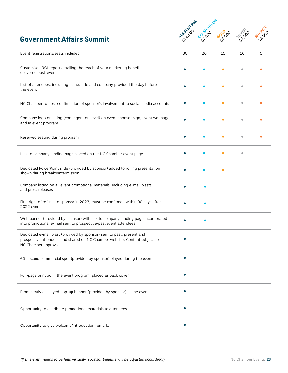### **Government Affairs Summit**



| Event registrations/seats included                                                                                                                                           | 30        | 20        | 15        | 10        | 5 |
|------------------------------------------------------------------------------------------------------------------------------------------------------------------------------|-----------|-----------|-----------|-----------|---|
| Customized ROI report detailing the reach of your marketing benefits,<br>delivered post-event                                                                                | $\bullet$ | $\bullet$ | $\bullet$ | $\bullet$ |   |
| List of attendees, including name, title and company provided the day before<br>the event                                                                                    |           |           | c         | $\bullet$ |   |
| NC Chamber to post confirmation of sponsor's involvement to social media accounts                                                                                            |           |           |           | ۰         |   |
| Company logo or listing (contingent on level) on event sponsor sign, event webpage,<br>and in event program                                                                  |           |           |           | ٠         |   |
| Reserved seating during program                                                                                                                                              |           |           |           |           |   |
| Link to company landing page placed on the NC Chamber event page                                                                                                             |           |           |           | ٠         |   |
| Dedicated PowerPoint slide (provided by sponsor) added to rolling presentation<br>shown during breaks/intermission                                                           |           |           |           |           |   |
| Company listing on all event promotional materials, including e-mail blasts<br>and press releases                                                                            |           |           |           |           |   |
| First right of refusal to sponsor in 2023, must be confirmed within 90 days after<br>2022 event                                                                              |           |           |           |           |   |
| Web banner (provided by sponsor) with link to company landing page incorporated<br>into promotional e-mail sent to prospective/past event attendees                          |           |           |           |           |   |
| Dedicated e-mail blast (provided by sponsor) sent to past, present and<br>prospective attendees and shared on NC Chamber website. Content subject to<br>NC Chamber approval. | $\bullet$ |           |           |           |   |
| 60-second commercial spot (provided by sponsor) played during the event                                                                                                      |           |           |           |           |   |
| Full-page print ad in the event program, placed as back cover                                                                                                                |           |           |           |           |   |
| Prominently displayed pop-up banner (provided by sponsor) at the event                                                                                                       | $\bullet$ |           |           |           |   |
| Opportunity to distribute promotional materials to attendees                                                                                                                 | $\bullet$ |           |           |           |   |
| Opportunity to give welcome/introduction remarks                                                                                                                             |           |           |           |           |   |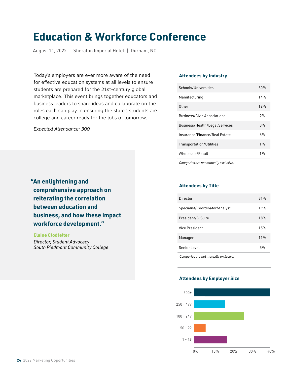# **Education & Workforce Conference**

August 11, 2022 | Sheraton Imperial Hotel | Durham, NC

Today's employers are ever more aware of the need for effective education systems at all levels to ensure students are prepared for the 21st-century global marketplace. This event brings together educators and business leaders to share ideas and collaborate on the roles each can play in ensuring the state's students are college and career ready for the jobs of tomorrow.

*Expected Attendance: 300*

**"An enlightening and comprehensive approach on reiterating the correlation between education and business, and how these impact workforce development."**

 **Elaine Clodfelter**  *Director, Student Advocacy*

 *South Piedmont Community College*

#### **Attendees by Industry**

| Schools/Universities                  | 50% |
|---------------------------------------|-----|
| Manufacturing                         | 14% |
| Other                                 | 12% |
| <b>Business/Civic Associations</b>    | 9%  |
| <b>Business/Health/Legal Services</b> | 8%  |
| Insurance/Finance/Real Estate         | 6%  |
| <b>Transportation/Utilities</b>       | 1%  |
| Wholesale/Retail                      | 1%  |
|                                       |     |

*Categories are not mutually exclusive.*

### **Attendees by Title**

| Director                       | 31% |
|--------------------------------|-----|
| Specialist/Coordinator/Analyst | 19% |
| President/C-Suite              | 18% |
| Vice President                 | 15% |
| Manager                        | 11% |
| Senior Level                   | 5%  |
|                                |     |

*Categories are not mutually exclusive.*

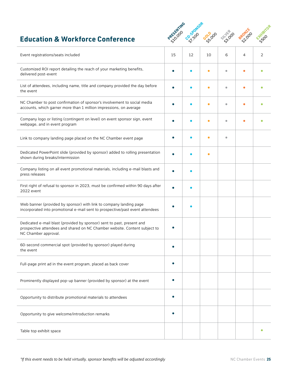### **Education & Workforce Conference**



| Event registrations/seats included                                                                                                                                           | 15 | 12 | 10        | 6         | 4 | 2         |
|------------------------------------------------------------------------------------------------------------------------------------------------------------------------------|----|----|-----------|-----------|---|-----------|
| Customized ROI report detailing the reach of your marketing benefits,<br>delivered post-event                                                                                |    |    | $\bullet$ | $\bullet$ | с |           |
| List of attendees, including name, title and company provided the day before<br>the event                                                                                    |    |    | О         | ۵         |   |           |
| NC Chamber to post confirmation of sponsor's involvement to social media<br>accounts, which garner more than 1 million impressions, on average                               |    |    | ٠         | ö         |   |           |
| Company logo or listing (contingent on level) on event sponsor sign, event<br>webpage, and in event program                                                                  |    |    | $\bullet$ | ö         |   |           |
| Link to company landing page placed on the NC Chamber event page                                                                                                             |    |    |           | $\bullet$ |   |           |
| Dedicated PowerPoint slide (provided by sponsor) added to rolling presentation<br>shown during breaks/intermission                                                           |    |    | ٠         |           |   |           |
| Company listing on all event promotional materials, including e-mail blasts and<br>press releases                                                                            |    |    |           |           |   |           |
| First right of refusal to sponsor in 2023, must be confirmed within 90 days after<br>2022 event                                                                              |    |    |           |           |   |           |
| Web banner (provided by sponsor) with link to company landing page<br>incorporated into promotional e-mail sent to prospective/past event attendees                          |    |    |           |           |   |           |
| Dedicated e-mail blast (provided by sponsor) sent to past, present and<br>prospective attendees and shared on NC Chamber website. Content subject to<br>NC Chamber approval. |    |    |           |           |   |           |
| 60-second commercial spot (provided by sponsor) played during<br>the event                                                                                                   |    |    |           |           |   |           |
| Full-page print ad in the event program, placed as back cover                                                                                                                |    |    |           |           |   |           |
| Prominently displayed pop-up banner (provided by sponsor) at the event                                                                                                       |    |    |           |           |   |           |
| Opportunity to distribute promotional materials to attendees                                                                                                                 |    |    |           |           |   |           |
| Opportunity to give welcome/introduction remarks                                                                                                                             |    |    |           |           |   |           |
| Table top exhibit space                                                                                                                                                      |    |    |           |           |   | $\bullet$ |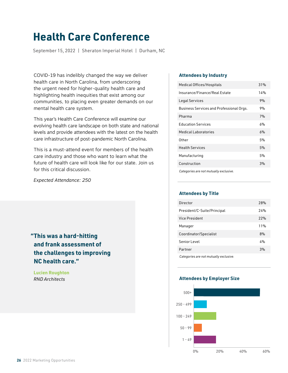# **Health Care Conference**

September 15, 2022 | Sheraton Imperial Hotel | Durham, NC

COVID-19 has indelibly changed the way we deliver health care in North Carolina, from underscoring the urgent need for higher-quality health care and highlighting health inequities that exist among our communities, to placing even greater demands on our mental health care system.

This year's Health Care Conference will examine our evolving health care landscape on both state and national levels and provide attendees with the latest on the health care infrastructure of post-pandemic North Carolina.

This is a must-attend event for members of the health care industry and those who want to learn what the future of health care will look like for our state. Join us for this critical discussion.

*Expected Attendance: 250*

### **"This was a hard-hitting and frank assessment of the challenges to improving NC health care."**

 **Lucien Roughton**  *RND Architects*

### **Attendees by Industry**

| Medical Offices/Hospitals                | 31% |
|------------------------------------------|-----|
| Insurance/Finance/Real Estate            | 14% |
| Legal Services                           | 9%  |
| Business Services and Professional Orgs. | 9%  |
| Pharma                                   | 7%  |
| <b>Education Services</b>                | 6%  |
| Medical Laboratories                     | 6%  |
| 0ther                                    | 5%  |
| <b>Health Services</b>                   | 5%  |
| Manufacturing                            | 5%  |
| Construction                             | 3%  |
| Categories are not mutually exclusive.   |     |

### **Attendees by Title**

| Director                               | 78% |
|----------------------------------------|-----|
| President/C-Suite/Principal            | 74% |
| Vice President                         | 22% |
| Manager                                | 11% |
| Coordinator/Specialist                 | 8%  |
| Senior Level                           | 4%  |
| Partner                                | 3%  |
| Categories are not mutually exclusive. |     |

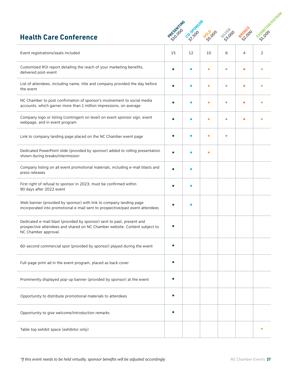### **Health Care Conference**



| Event registrations/seats included                                                                                                                                           | 15 | 12 | 10 | 6         | 4 | 2 |
|------------------------------------------------------------------------------------------------------------------------------------------------------------------------------|----|----|----|-----------|---|---|
| Customized ROI report detailing the reach of your marketing benefits,<br>delivered post-event                                                                                |    |    |    | $\bullet$ | ٠ |   |
| List of attendees, including name, title and company provided the day before<br>the event                                                                                    |    |    | ٠  | $\bullet$ | c |   |
| NC Chamber to post confirmation of sponsor's involvement to social media<br>accounts, which garner more than 1 million impressions, on average                               |    |    |    | ۰         |   |   |
| Company logo or listing (contingent on level) on event sponsor sign, event<br>webpage, and in event program                                                                  |    |    |    | $\bullet$ |   |   |
| Link to company landing page placed on the NC Chamber event page                                                                                                             |    |    |    | $\bullet$ |   |   |
| Dedicated PowerPoint slide (provided by sponsor) added to rolling presentation<br>shown during breaks/intermission                                                           |    |    |    |           |   |   |
| Company listing on all event promotional materials, including e-mail blasts and<br>press releases                                                                            |    |    |    |           |   |   |
| First right of refusal to sponsor in 2023, must be confirmed within<br>90 days after 2022 event                                                                              |    |    |    |           |   |   |
| Web banner (provided by sponsor) with link to company landing page<br>incorporated into promotional e-mail sent to prospective/past event attendees                          |    |    |    |           |   |   |
| Dedicated e-mail blast (provided by sponsor) sent to past, present and<br>prospective attendees and shared on NC Chamber website. Content subject to<br>NC Chamber approval. |    |    |    |           |   |   |
| 60-second commercial spot (provided by sponsor) played during the event                                                                                                      |    |    |    |           |   |   |
| Full-page print ad in the event program, placed as back cover                                                                                                                |    |    |    |           |   |   |
| Prominently displayed pop-up banner (provided by sponsor) at the event                                                                                                       |    |    |    |           |   |   |
| Opportunity to distribute promotional materials to attendees                                                                                                                 |    |    |    |           |   |   |
| Opportunity to give welcome/introduction remarks                                                                                                                             |    |    |    |           |   |   |
| Table top exhibit space (exhibitor only)                                                                                                                                     |    |    |    |           |   |   |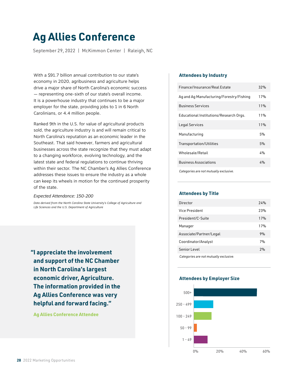# **Ag Allies Conference**

September 29, 2022 | McKimmon Center | Raleigh, NC

With a \$91.7 billion annual contribution to our state's economy in 2020, agribusiness and agriculture helps drive a major share of North Carolina's economic success — representing one-sixth of our state's overall income. It is a powerhouse industry that continues to be a major employer for the state, providing jobs to 1 in 6 North Carolinians, or 4.4 million people.

Ranked 9th in the U.S. for value of agricultural products sold, the agriculture industry is and will remain critical to North Carolina's reputation as an economic leader in the Southeast. That said however, farmers and agricultural businesses across the state recognize that they must adapt to a changing workforce, evolving technology, and the latest state and federal regulations to continue thriving within their sector. The NC Chamber's Ag Allies Conference addresses these issues to ensure the industry as a whole can keep its wheels in motion for the continued prosperity of the state.

#### *Expected Attendance: 150-200*

*Data derived from the North Carolina State University's College of Agriculture and Life Sciences and the U.S. Department of Agriculture*

**"I appreciate the involvement and support of the NC Chamber in North Carolina's largest economic driver, Agriculture. The information provided in the Ag Allies Conference was very helpful and forward facing."**

 **Ag Allies Conference Attendee**

### **Attendees by Industry**

| Finance/Insurance/Real Estate            | 32% |
|------------------------------------------|-----|
| Ag and Ag Manufacturing/Forestry/Fishing | 17% |
| <b>Business Services</b>                 | 11% |
| Educational Institutions/Research Orgs.  | 11% |
| Legal Services                           | 11% |
| Manufacturing                            | 5%  |
| Transportation/Utilities                 | 5%  |
| Wholesale/Retail                         | 4%  |
| <b>Business Associations</b>             | 4%  |
| Categories are not mutually exclusive.   |     |

### **Attendees by Title**

| Director                               | 74% |
|----------------------------------------|-----|
| Vice President                         | 23% |
| President/C-Suite                      | 17% |
| Manager                                | 17% |
| Associate/Partner/Legal                | 9%  |
| Coordinator/Analyst                    | 7%  |
| Senior Level                           | 2%  |
| Categories are not mutually exclusive. |     |

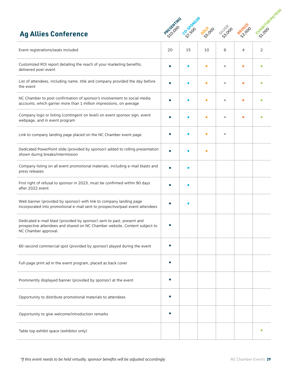### **Ag Allies Conference**



| Event registrations/seats included                                                                                                                                           | 20 | 15 | 10 | 6         | 4 | 2 |
|------------------------------------------------------------------------------------------------------------------------------------------------------------------------------|----|----|----|-----------|---|---|
| Customized ROI report detailing the reach of your marketing benefits,<br>delivered post-event                                                                                |    |    |    | $\bullet$ |   |   |
| List of attendees, including name, title and company provided the day before<br>the event                                                                                    |    |    |    | ۰         |   |   |
| NC Chamber to post confirmation of sponsor's involvement to social media<br>accounts, which garner more than 1 million impressions, on average                               |    |    |    | ۰         |   |   |
| Company logo or listing (contingent on level) on event sponsor sign, event<br>webpage, and in event program                                                                  |    |    |    | ۰         |   |   |
| Link to company landing page placed on the NC Chamber event page                                                                                                             |    |    |    | ۰         |   |   |
| Dedicated PowerPoint slide (provided by sponsor) added to rolling presentation<br>shown during breaks/intermission                                                           |    |    |    |           |   |   |
| Company listing on all event promotional materials, including e-mail blasts and<br>press releases                                                                            |    |    |    |           |   |   |
| First right of refusal to sponsor in 2023, must be confirmed within 90 days<br>after 2022 event                                                                              |    |    |    |           |   |   |
| Web banner (provided by sponsor) with link to company landing page<br>incorporated into promotional e-mail sent to prospective/past event attendees                          |    |    |    |           |   |   |
| Dedicated e-mail blast (provided by sponsor) sent to past, present and<br>prospective attendees and shared on NC Chamber website. Content subject to<br>NC Chamber approval. |    |    |    |           |   |   |
| 60-second commercial spot (provided by sponsor) played during the event                                                                                                      |    |    |    |           |   |   |
| Full-page print ad in the event program, placed as back cover                                                                                                                |    |    |    |           |   |   |
| Prominently displayed banner (provided by sponsor) at the event                                                                                                              |    |    |    |           |   |   |
| Opportunity to distribute promotional materials to attendees                                                                                                                 |    |    |    |           |   |   |
| Opportunity to give welcome/introduction remarks                                                                                                                             |    |    |    |           |   |   |
| Table top exhibit space (exhibitor only)                                                                                                                                     |    |    |    |           |   |   |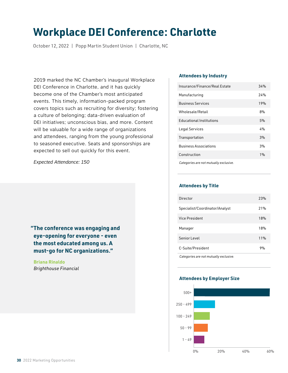# **Workplace DEI Conference: Charlotte**

October 12, 2022 | Popp Martin Student Union | Charlotte, NC

2019 marked the NC Chamber's inaugural Workplace DEI Conference in Charlotte, and it has quickly become one of the Chamber's most anticipated events. This timely, information-packed program covers topics such as recruiting for diversity; fostering a culture of belonging; data-driven evaluation of DEI initiatives; unconscious bias, and more. Content will be valuable for a wide range of organizations and attendees, ranging from the young professional to seasoned executive. Seats and sponsorships are expected to sell out quickly for this event.

*Expected Attendance: 150*

**"The conference was engaging and eye-opening for everyone - even the most educated among us. A must-go for NC organizations."**

 **Briana Rinaldo**  *Brighthouse Financial*

### **Attendees by Industry**

| Insurance/Finance/Real Estate                                        | 34% |
|----------------------------------------------------------------------|-----|
| Manufacturing                                                        | 24% |
| <b>Business Services</b>                                             | 19% |
| Wholesale/Retail                                                     | 8%  |
| <b>Educational Institutions</b>                                      | 5%  |
| Legal Services                                                       | 4%  |
| Transportation                                                       | 3%  |
| <b>Business Associations</b>                                         | 3%  |
| Construction                                                         | 1%  |
| $\alpha$ . In additional contract the contract that is contracted as |     |

*Categories are not mutually exclusive.*

#### **Attendees by Title**

| Director                       | 23% |
|--------------------------------|-----|
| Specialist/Coordinator/Analyst | 21% |
| Vice President                 | 18% |
| Manager                        | 18% |
| Senior Level                   | 11% |
| C-Suite/President              | 9%  |
|                                |     |

*Categories are not mutually exclusive.*

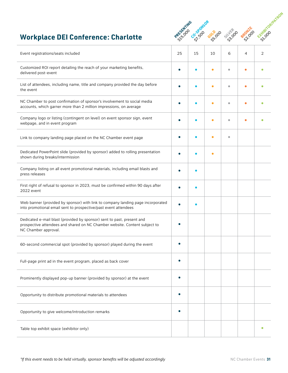### **Workplace DEI Conference: Charlotte**



| Event registrations/seats included                                                                                                                                           | 25        | 15 | 10        | 6         | 4 | $\overline{2}$ |
|------------------------------------------------------------------------------------------------------------------------------------------------------------------------------|-----------|----|-----------|-----------|---|----------------|
| Customized ROI report detailing the reach of your marketing benefits,<br>delivered post-event                                                                                | $\bullet$ |    | ۰         | ۰         |   |                |
| List of attendees, including name, title and company provided the day before<br>the event                                                                                    |           |    | $\bullet$ | $\bullet$ |   |                |
| NC Chamber to post confirmation of sponsor's involvement to social media<br>accounts, which garner more than 2 million impressions, on average                               |           |    | $\bullet$ | ö         |   |                |
| Company logo or listing (contingent on level) on event sponsor sign, event<br>webpage, and in event program                                                                  |           |    | ۸         | ۰         |   |                |
| Link to company landing page placed on the NC Chamber event page                                                                                                             |           |    | ä         | $\bullet$ |   |                |
| Dedicated PowerPoint slide (provided by sponsor) added to rolling presentation<br>shown during breaks/intermission                                                           |           |    | ۸         |           |   |                |
| Company listing on all event promotional materials, including email blasts and<br>press releases                                                                             |           |    |           |           |   |                |
| First right of refusal to sponsor in 2023, must be confirmed within 90 days after<br>2022 event                                                                              |           |    |           |           |   |                |
| Web banner (provided by sponsor) with link to company landing page incorporated<br>into promotional email sent to prospective/past event attendees                           |           |    |           |           |   |                |
| Dedicated e-mail blast (provided by sponsor) sent to past, present and<br>prospective attendees and shared on NC Chamber website. Content subject to<br>NC Chamber approval. |           |    |           |           |   |                |
| 60-second commercial spot (provided by sponsor) played during the event                                                                                                      |           |    |           |           |   |                |
| Full-page print ad in the event program, placed as back cover                                                                                                                |           |    |           |           |   |                |
| Prominently displayed pop-up banner (provided by sponsor) at the event                                                                                                       | ٠         |    |           |           |   |                |
| Opportunity to distribute promotional materials to attendees                                                                                                                 | $\bullet$ |    |           |           |   |                |
| Opportunity to give welcome/introduction remarks                                                                                                                             | ٠         |    |           |           |   |                |
| Table top exhibit space (exhibitor only)                                                                                                                                     |           |    |           |           |   |                |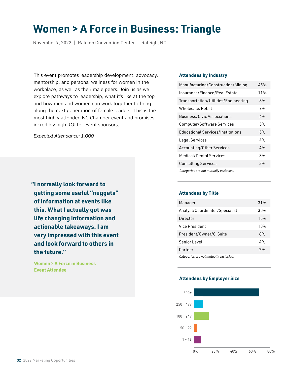# **Women > A Force in Business: Triangle**

November 9, 2022 | Raleigh Convention Center | Raleigh, NC

This event promotes leadership development, advocacy, mentorship, and personal wellness for women in the workplace, as well as their male peers. Join us as we explore pathways to leadership, what it's like at the top and how men and women can work together to bring along the next generation of female leaders. This is the most highly attended NC Chamber event and promises incredibly high ROI for event sponsors.

*Expected Attendance: 1,000*

**"I normally look forward to getting some useful "nuggets" of information at events like this. What I actually got was life changing information and actionable takeaways. I am very impressed with this event and look forward to others in the future."**

 **Women > A Force in Business Event Attendee**

### **Attendees by Industry**

| Manufacturing/Construction/Mining        | 45% |
|------------------------------------------|-----|
| Insurance/Finance/Real Estate            | 11% |
| Transportation/Utilities/Engineering     | 8%  |
| Wholesale/Retail                         | 7%  |
| <b>Business/Civic Associations</b>       | 6%  |
| Computer/Software Services               | 5%  |
| <b>Educational Services/Institutions</b> | 5%  |
| Legal Services                           | 4%  |
| <b>Accounting/Other Services</b>         | 4%  |
| Medical/Dental Services                  | 3%  |
| <b>Consulting Services</b>               | 3%  |
| Categories are not mutually exclusive.   |     |

### **Attendees by Title**

| Manager                                | 31% |
|----------------------------------------|-----|
| Analyst/Coordinator/Specialist         | 30% |
| Director                               | 15% |
| Vice President                         | 10% |
| President/Owner/C-Suite                | 8%  |
| Senior Level                           | 4%  |
| Partner                                | 2%  |
| Categories are not mutually exclusive. |     |

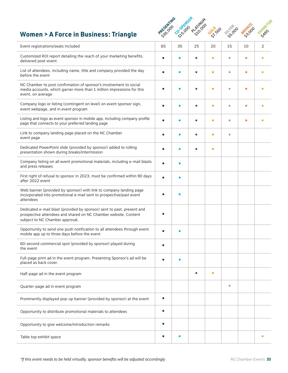### **Women > A Force in Business: Triangle**



| Event registrations/seats included                                                                                                                                           | 65 | 35 | 25 | 20        | 15                      | 10 | 2 |
|------------------------------------------------------------------------------------------------------------------------------------------------------------------------------|----|----|----|-----------|-------------------------|----|---|
| Customized ROI report detailing the reach of your marketing benefits,<br>delivered post-event                                                                                |    |    |    | ۸         | ۰                       |    |   |
| List of attendees, including name, title and company provided the day<br>before the event                                                                                    |    |    |    | $\bullet$ | $\bullet$               |    |   |
| NC Chamber to post confirmation of sponsor's involvement to social<br>media accounts, which garner more than 1 million impressions for this<br>event, on average             |    |    |    | $\bullet$ | $\bullet$               |    |   |
| Company logo or listing (contingent on level) on event sponsor sign,<br>event webpage, and in event program                                                                  |    |    |    | $\bullet$ | ۰                       | ٠  |   |
| Listing and logo as event sponsor in mobile app, including company profile<br>page that connects to your preferred landing page                                              |    |    |    | ۵         | $\bullet$               |    |   |
| Link to company landing page placed on the NC Chamber<br>event page                                                                                                          |    |    |    | $\bullet$ | $\bullet$               |    |   |
| Dedicated PowerPoint slide (provided by sponsor) added to rolling<br>presentation shown during breaks/intermission                                                           |    |    |    | ٠         |                         |    |   |
| Company listing on all event promotional materials, including e-mail blasts<br>and press releases                                                                            |    |    |    |           |                         |    |   |
| First right of refusal to sponsor in 2023, must be confirmed within 90 days<br>after 2022 event                                                                              |    |    |    |           |                         |    |   |
| Web banner (provided by sponsor) with link to company landing page<br>incorporated into promotional e-mail sent to prospective/past event<br>attendees                       |    |    |    |           |                         |    |   |
| Dedicated e-mail blast (provided by sponsor) sent to past, present and<br>prospective attendees and shared on NC Chamber website. Content<br>subject to NC Chamber approval. |    |    |    |           |                         |    |   |
| Opportunity to send one push notification to all attendees through event<br>mobile app up to three days before the event                                                     |    |    |    |           |                         |    |   |
| 60-second commercial spot (provided by sponsor) played during<br>the event                                                                                                   |    |    |    |           |                         |    |   |
| Full-page print ad in the event program. Presenting Sponsor's ad will be<br>placed as back cover.                                                                            |    |    |    |           |                         |    |   |
| Half-page ad in the event program                                                                                                                                            |    |    | ٠  | $\bullet$ |                         |    |   |
| Quarter-page ad in event program                                                                                                                                             |    |    |    |           | $\qquad \qquad \bullet$ |    |   |
| Prominently displayed pop-up banner (provided by sponsor) at the event                                                                                                       |    |    |    |           |                         |    |   |
| Opportunity to distribute promotional materials to attendees                                                                                                                 | ٠  |    |    |           |                         |    |   |
| Opportunity to give welcome/introduction remarks                                                                                                                             |    |    |    |           |                         |    |   |
| Table top exhibit space                                                                                                                                                      |    |    |    |           |                         |    | ٠ |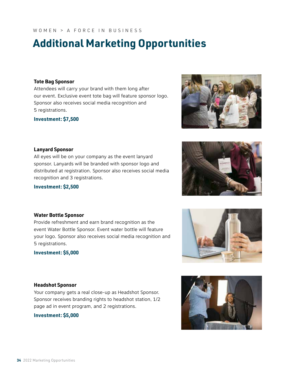**34** 2022 Marketing Opportunities

### WOMEN > A FORCE IN BUSINESS

# **Additional Marketing Opportunities**

### **Tote Bag Sponsor**

Attendees will carry your brand with them long after our event. Exclusive event tote bag will feature sponsor logo. Sponsor also receives social media recognition and 5 registrations.

**Investment: \$7,500**

### **Lanyard Sponsor**

All eyes will be on your company as the event lanyard sponsor. Lanyards will be branded with sponsor logo and distributed at registration. Sponsor also receives social media recognition and 3 registrations.

Provide refreshment and earn brand recognition as the event Water Bottle Sponsor. Event water bottle will feature your logo. Sponsor also receives social media recognition and

### **Investment: \$2,500**

**Water Bottle Sponsor**

**Investment: \$5,000**

5 registrations.

### **Headshot Sponsor**

Your company gets a real close-up as Headshot Sponsor. Sponsor receives branding rights to headshot station, 1/2 page ad in event program, and 2 registrations.

**Investment: \$5,000**







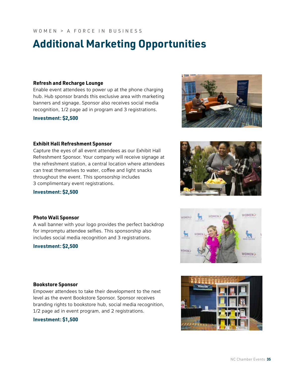# **Additional Marketing Opportunities**

### **Refresh and Recharge Lounge**

Enable event attendees to power up at the phone charging hub. Hub sponsor brands this exclusive area with marketing banners and signage. Sponsor also receives social media recognition, 1/2 page ad in program and 3 registrations.

**Investment: \$2,500**

### **Exhibit Hall Refreshment Sponsor**

Capture the eyes of all event attendees as our Exhibit Hall Refreshment Sponsor. Your company will receive signage at the refreshment station, a central location where attendees can treat themselves to water, coffee and light snacks throughout the event. This sponsorship includes 3 complimentary event registrations.

### **Investment: \$2,500**

### **Photo Wall Sponsor**

A wall banner with your logo provides the perfect backdrop for impromptu attendee selfies. This sponsorship also includes social media recognition and 3 registrations.

### **Investment: \$2,500**

### **Bookstore Sponsor**

Empower attendees to take their development to the next level as the event Bookstore Sponsor. Sponsor receives branding rights to bookstore hub, social media recognition, 1/2 page ad in event program, and 2 registrations.

### **Investment: \$1,500**

**WOMEN?** 

WOMEN >





WORKER

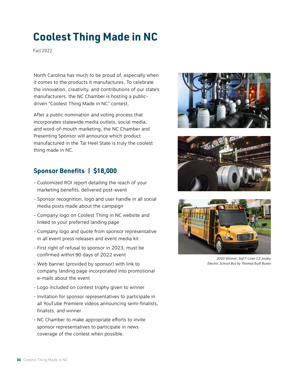# **Coolest Thing Made in NC**

Fall 2022

North Carolina has much to be proud of, especially when it comes to the products it manufactures. To celebrate the innovation, creativity, and contributions of our state's manufacturers, the NC Chamber is hosting a publicdriven "Coolest Thing Made in NC" contest.

After a public nomination and voting process that incorporates statewide media outlets, social media, and word-of-mouth marketing, the NC Chamber and Presenting Sponsor will announce which product manufactured in the Tar Heel State is truly the coolest thing made in NC.

### **Sponsor Benefits | \$18,000**

- Customized ROI report detailing the reach of your marketing benefits, delivered post-event
- Sponsor recognition, logo and user handle in all social media posts made about the campaign
- Company logo on Coolest Thing in NC website and linked to your preferred landing page
- Company logo and quote from sponsor representative in all event press releases and event media kit
- First right of refusal to sponsor in 2023, must be confirmed within 90 days of 2022 event
- Web banner (provided by sponsor) with link to company landing page incorporated into promotional e-mails about the event
- Logo included on contest trophy given to winner
- Invitation for sponsor representatives to participate in all YouTube Premiere videos announcing semi-finalists, finalists, and winner
- NC Chamber to make appropriate efforts to invite sponsor representatives to participate in news coverage of the contest when possible.







*2020 Winner: Saf-T-Liner C2 Jouley Electric School Bus by Thomas Built Buses*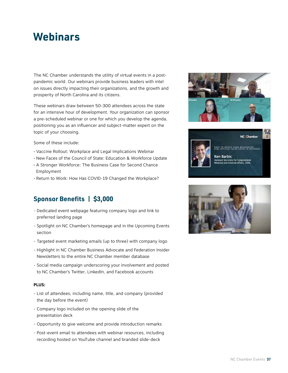# **Webinars**

The NC Chamber understands the utility of virtual events in a postpandemic world. Our webinars provide business leaders with intel on issues directly impacting their organizations, and the growth and prosperity of North Carolina and its citizens.

These webinars draw between 50-300 attendees across the state for an intensive hour of development. Your organization can sponsor a pre-scheduled webinar or one for which you develop the agenda, positioning you as an influencer and subject-matter expert on the topic of your choosing.

Some of these include:

- Vaccine Rollout: Workplace and Legal Implications Webinar
- New Faces of the Council of State: Education & Workforce Update
- A Stronger Workforce: The Business Case for Second Chance Employment
- Return to Work: How Has COVID-19 Changed the Workplace?

### **Sponsor Benefits | \$3,000**

- Dedicated event webpage featuring company logo and link to preferred landing page
- Spotlight on NC Chamber's homepage and in the Upcoming Events section
- Targeted event marketing emails (up to three) with company logo
- Highlight in NC Chamber Business Advocate and Federation Insider Newsletters to the entire NC Chamber member database
- Social media campaign underscoring your involvement and posted to NC Chamber's Twitter, LinkedIn, and Facebook accounts

### **PLUS:**

- List of attendees, including name, title, and company (provided the day before the event)
- Company logo included on the opening slide of the presentation deck
- Opportunity to give welcome and provide introduction remarks
- Post-event email to attendees with webinar resources, including recording hosted on YouTube channel and branded slide-deck





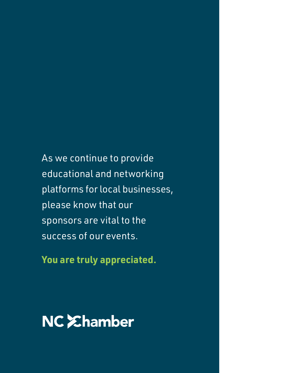As we continue to provide educational and networking platforms for local businesses, please know that our sponsors are vital to the success of our events.

**You are truly appreciated.**

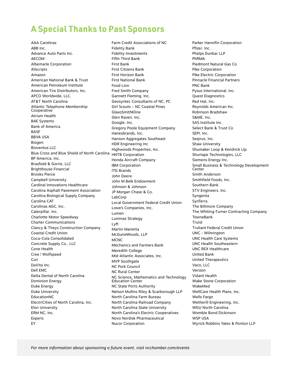### **A Special Thanks to Past Sponsors**

AAA Carolinas ABB Inc. Advance Auto Parts Inc. AECOM Albemarle Corporation Allscripts Amazon American National Bank & Trust American Petroleum Institute American Tire Distributors, Inc. APCO Worldwide, LLC. AT&T North Carolina Atlantic Telephone Membership Cooperative Atrium Health BAE Systems Bank of America **BASE** BBVA USA Biogen Bioventus LLC Blue Cross and Blue Shield of North Carolina BP America, Inc. Brasfield & Gorrie, LLC Brighthouse Financial Brooks Pierce Campbell University Cardinal Innovations Healthcare Carolina Asphalt Pavement Association Carolina Biological Supply Company Carolina CAT Carolinas AGC, Inc. Caterpillar, Inc. Charlotte Motor Speedway Charter Communications Clancy & Theys Construction Company Coastal Credit Union Coca-Cola Consolidated Concrete Supply Co., LLC Cone Health Cree | Wolfspeed Curi DaVita Inc. Dell EMC Delta Dental of North Carolina Dominion Energy Duke Energy Duke University EducationNC ElectriCities of North Carolina, Inc. Elon University ERM NC, Inc. Experis EY

Farm Credit Associations of NC Fidelity Bank Fidelity Investments Fifth Third Bank First Bank First Citizens Bank First Horizon Bank First National Bank Food Lion Fred Smith Company Gannett Fleming, Inc. Geosyntec Consultants of NC, PC Girl Scouts – NC Coastal Pines GlaxoSmithKline Glen Raven, Inc. Google, Inc. Gregory Poole Equipment Company Hanesbrands, Inc. Hanson Aggregates Southeast HDR Engineering Inc Highwoods Properties, Inc. HNTB Corporation Honda Aircraft Company IBM Corporation ITG Brands John Deere John M Belk Endowment Johnson & Johnson JP Morgan Chase & Co. LabCorp Local Government Federal Credit Union Lowe's Companies, Inc. Lumen Luminas Strategy Lyft Martin Marietta McGuireWoods, LLP **MCNC** Mechanics and Farmers Bank Meredith College Mid-Atlantic Associates, Inc. MVP Southgate NC Pork Council NC Rural Center NC Science, Mathematics and Technology Education Center NC State Ports Authority Nelson Mullins Riley & Scarborough LLP North Carolina Farm Bureau North Carolina Railroad Company North Carolina State University North Carolina's Electric Cooperatives Novo Nordisk Pharmaceutical Nucor Corporation

Parker Hannifin Corporation Pfizer, Inc. Phelps Dunbar LLP PhRMA Piedmont Natural Gas Co Pike Corporation Pike Electric Corporation Pinnacle Financial Partners PNC Bank Pyxus International, Inc. Quest Diagnostics Red Hat, Inc. Reynolds American Inc. Robinson Bradshaw S&ME, Inc. SAS Institute Inc. Select Bank & Trust Co SEPI, Inc. Seqirus, Inc. Shaw University Shumaker Loop & Kendrick Llp Shurtape Technologies, LLC Siemens Energy Inc. Small Business & Technology Development Center Smith Anderson Smithfield Foods, Inc. Southern Bank STV Engineers, Inc. Syngenta SynTerra The Biltmore Company The Whiting-Turner Contracting Company TowneBank Truist Truliant Federal Credit Union UNC - Wilmington UNC Health Care Systems UNC Health Southeastern UNC REX Healthcare United Bank United Therapeutics Vaco, LLC Verizon Vidant Health Wake Stone Corporation WakeMed WellCare Health Plans, Inc. Wells Fargo Wetherill Engineering, Inc. WGU North Carolina Womble Bond Dickinson WSP USA Wyrick Robbins Yates & Ponton LLP

*For more information about sponsoring a future event, visit ncchamber.com/events*